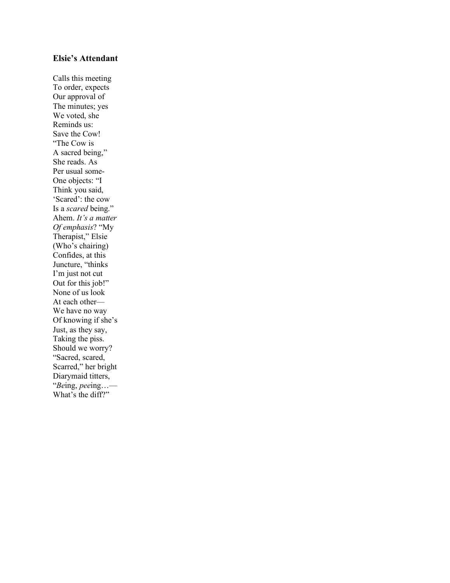#### **Elsie's Attendant**

Calls this meeting To order, expects Our approval of The minutes; yes We voted, she Reminds us: Save the Cow! "The Cow is A sacred being," She reads. As Per usual some-One objects: "I Think you said, 'Scared': the cow Is a *scared* being." Ahem. *It's a matter Of emphasis*? "My Therapist," Elsie (Who's chairing) Confides, at this Juncture, "thinks I'm just not cut Out for this job!" None of us look At each other— We have no way Of knowing if she's Just, as they say, Taking the piss. Should we worry? "Sacred, scared, Scarred," her bright Diarymaid titters, "*Be*ing, *pee*ing…— What's the diff?"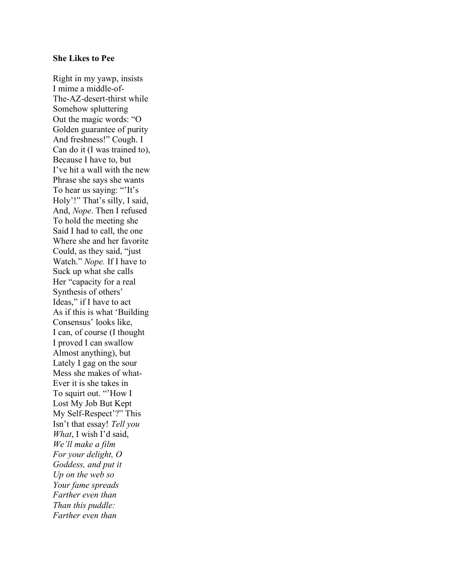### **She Likes to Pee**

Right in my yawp, insists I mime a middle-of-The-AZ-desert-thirst while Somehow spluttering Out the magic words: "O Golden guarantee of purity And freshness!" Cough. I Can do it (I was trained to), Because I have to, but I've hit a wall with the new Phrase she says she wants To hear us saying: "'It's Holy'!" That's silly, I said, And, *Nope*. Then I refused To hold the meeting she Said I had to call, the one Where she and her favorite Could, as they said, "just Watch." *Nope.* If I have to Suck up what she calls Her "capacity for a real Synthesis of others' Ideas," if I have to act As if this is what 'Building Consensus' looks like, I can, of course (I thought I proved I can swallow Almost anything), but Lately I gag on the sour Mess she makes of what-Ever it is she takes in To squirt out. "'How I Lost My Job But Kept My Self-Respect'?" This Isn't that essay! *Tell you What*, I wish I'd said, *We'll make a film For your delight, O Goddess, and put it Up on the web so Your fame spreads Farther even than Than this puddle: Farther even than*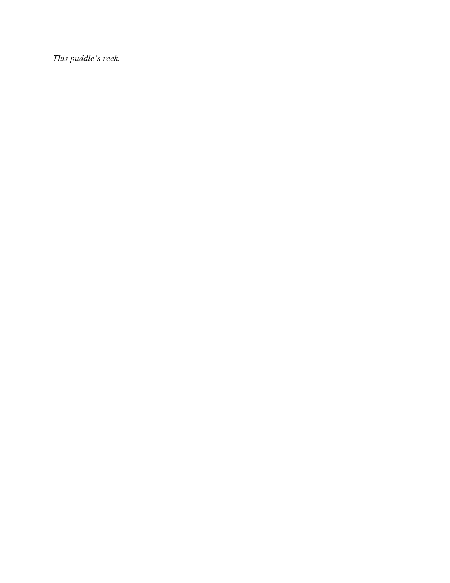*This puddle's reek.*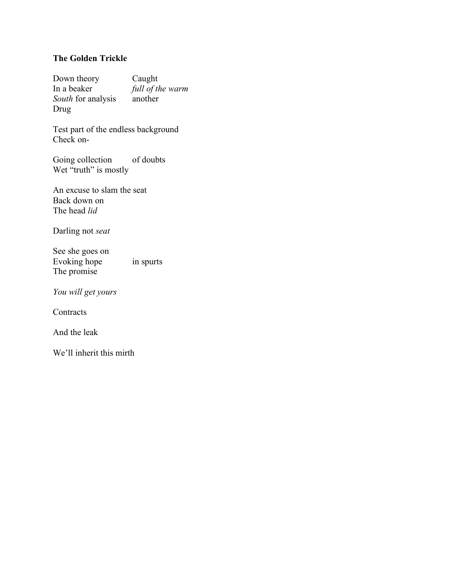# **The Golden Trickle**

Down theory Caught In a beaker *full of the warm South* for analysis another Drug

Test part of the endless background Check on-

Going collection of doubts Wet "truth" is mostly

An excuse to slam the seat Back down on The head *lid*

Darling not *seat*

See she goes on Evoking hope in spurts The promise

*You will get yours*

**Contracts** 

And the leak

We'll inherit this mirth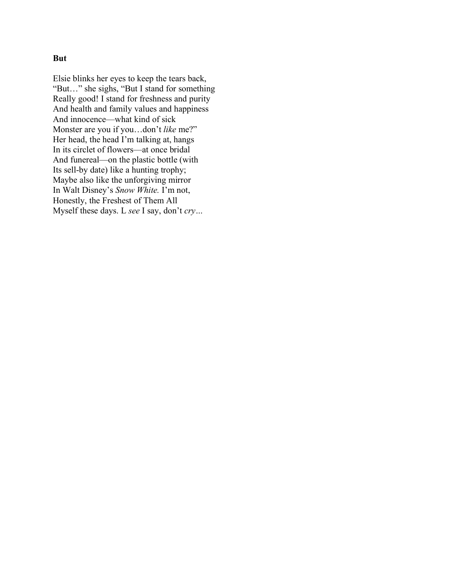## **But**

Elsie blinks her eyes to keep the tears back, "But…" she sighs, "But I stand for something Really good! I stand for freshness and purity And health and family values and happiness And innocence—what kind of sick Monster are you if you…don't *like* me?" Her head, the head I'm talking at, hangs In its circlet of flowers—at once bridal And funereal—on the plastic bottle (with Its sell-by date) like a hunting trophy; Maybe also like the unforgiving mirror In Walt Disney's *Snow White.* I'm not, Honestly, the Freshest of Them All Myself these days. L *see* I say, don't *cry…*